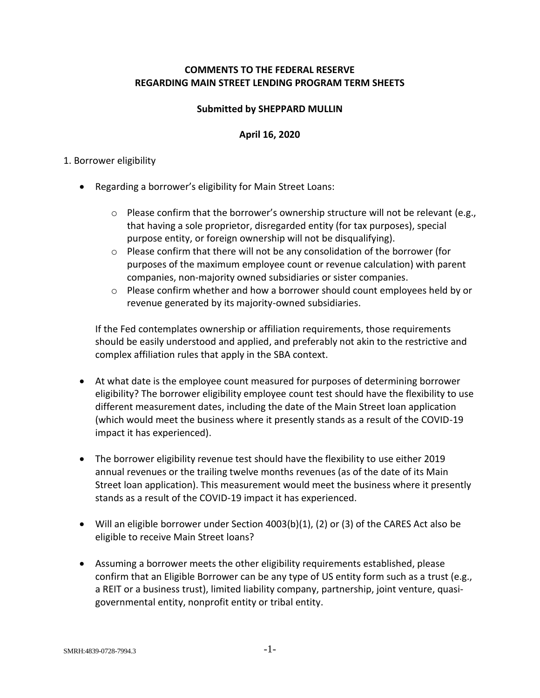# **COMMENTS TO THE FEDERAL RESERVE REGARDING MAIN STREET LENDING PROGRAM TERM SHEETS**

## **Submitted by SHEPPARD MULLIN**

## **April 16, 2020**

#### 1. Borrower eligibility

- Regarding a borrower's eligibility for Main Street Loans:
	- o Please confirm that the borrower's ownership structure will not be relevant (e.g., that having a sole proprietor, disregarded entity (for tax purposes), special purpose entity, or foreign ownership will not be disqualifying).
	- o Please confirm that there will not be any consolidation of the borrower (for purposes of the maximum employee count or revenue calculation) with parent companies, non-majority owned subsidiaries or sister companies.
	- o Please confirm whether and how a borrower should count employees held by or revenue generated by its majority-owned subsidiaries.

If the Fed contemplates ownership or affiliation requirements, those requirements should be easily understood and applied, and preferably not akin to the restrictive and complex affiliation rules that apply in the SBA context.

- At what date is the employee count measured for purposes of determining borrower eligibility? The borrower eligibility employee count test should have the flexibility to use different measurement dates, including the date of the Main Street loan application (which would meet the business where it presently stands as a result of the COVID-19 impact it has experienced).
- The borrower eligibility revenue test should have the flexibility to use either 2019 annual revenues or the trailing twelve months revenues (as of the date of its Main Street loan application). This measurement would meet the business where it presently stands as a result of the COVID-19 impact it has experienced.
- Will an eligible borrower under Section 4003(b)(1), (2) or (3) of the CARES Act also be eligible to receive Main Street loans?
- Assuming a borrower meets the other eligibility requirements established, please confirm that an Eligible Borrower can be any type of US entity form such as a trust (e.g., a REIT or a business trust), limited liability company, partnership, joint venture, quasigovernmental entity, nonprofit entity or tribal entity.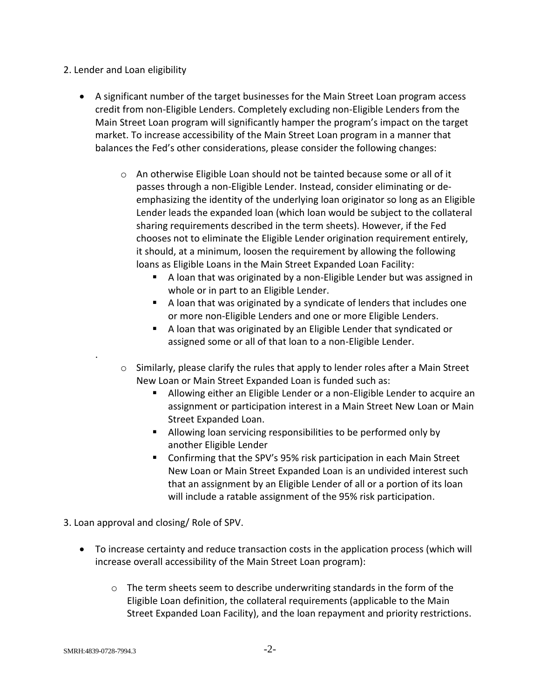## 2. Lender and Loan eligibility

- A significant number of the target businesses for the Main Street Loan program access credit from non-Eligible Lenders. Completely excluding non-Eligible Lenders from the Main Street Loan program will significantly hamper the program's impact on the target market. To increase accessibility of the Main Street Loan program in a manner that balances the Fed's other considerations, please consider the following changes:
	- $\circ$  An otherwise Eligible Loan should not be tainted because some or all of it passes through a non-Eligible Lender. Instead, consider eliminating or deemphasizing the identity of the underlying loan originator so long as an Eligible Lender leads the expanded loan (which loan would be subject to the collateral sharing requirements described in the term sheets). However, if the Fed chooses not to eliminate the Eligible Lender origination requirement entirely, it should, at a minimum, loosen the requirement by allowing the following loans as Eligible Loans in the Main Street Expanded Loan Facility:
		- A loan that was originated by a non-Eligible Lender but was assigned in whole or in part to an Eligible Lender.
		- A loan that was originated by a syndicate of lenders that includes one or more non-Eligible Lenders and one or more Eligible Lenders.
		- A loan that was originated by an Eligible Lender that syndicated or assigned some or all of that loan to a non-Eligible Lender.
	- $\circ$  Similarly, please clarify the rules that apply to lender roles after a Main Street New Loan or Main Street Expanded Loan is funded such as:
		- Allowing either an Eligible Lender or a non-Eligible Lender to acquire an assignment or participation interest in a Main Street New Loan or Main Street Expanded Loan.
		- Allowing loan servicing responsibilities to be performed only by another Eligible Lender
		- Confirming that the SPV's 95% risk participation in each Main Street New Loan or Main Street Expanded Loan is an undivided interest such that an assignment by an Eligible Lender of all or a portion of its loan will include a ratable assignment of the 95% risk participation.

3. Loan approval and closing/ Role of SPV.

- To increase certainty and reduce transaction costs in the application process (which will increase overall accessibility of the Main Street Loan program):
	- $\circ$  The term sheets seem to describe underwriting standards in the form of the Eligible Loan definition, the collateral requirements (applicable to the Main Street Expanded Loan Facility), and the loan repayment and priority restrictions.

.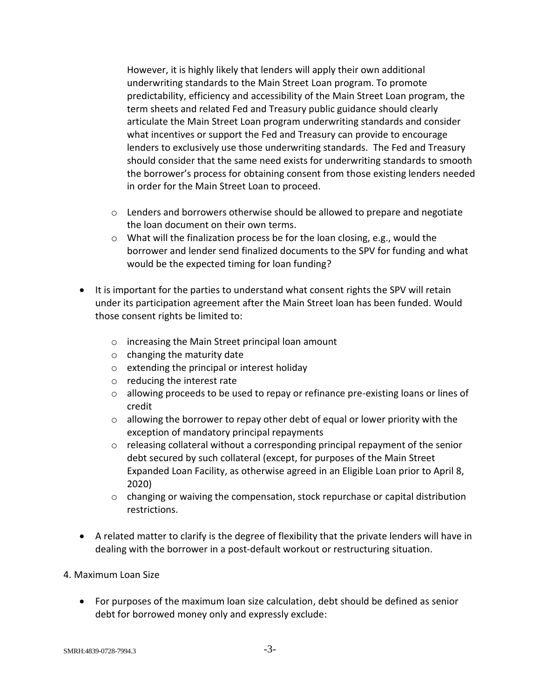However, it is highly likely that lenders will apply their own additional underwriting standards to the Main Street Loan program. To promote predictability, efficiency and accessibility of the Main Street Loan program, the term sheets and related Fed and Treasury public guidance should clearly articulate the Main Street Loan program underwriting standards and consider what incentives or support the Fed and Treasury can provide to encourage lenders to exclusively use those underwriting standards. The Fed and Treasury should consider that the same need exists for underwriting standards to smooth the borrower's process for obtaining consent from those existing lenders needed in order for the Main Street Loan to proceed.

- $\circ$  Lenders and borrowers otherwise should be allowed to prepare and negotiate the loan document on their own terms.
- o What will the finalization process be for the loan closing, e.g., would the borrower and lender send finalized documents to the SPV for funding and what would be the expected timing for loan funding?
- It is important for the parties to understand what consent rights the SPV will retain under its participation agreement after the Main Street loan has been funded. Would those consent rights be limited to:
	- o increasing the Main Street principal loan amount
	- $\circ$  changing the maturity date
	- o extending the principal or interest holiday
	- o reducing the interest rate
	- $\circ$  allowing proceeds to be used to repay or refinance pre-existing loans or lines of credit
	- $\circ$  allowing the borrower to repay other debt of equal or lower priority with the exception of mandatory principal repayments
	- $\circ$  releasing collateral without a corresponding principal repayment of the senior debt secured by such collateral (except, for purposes of the Main Street Expanded Loan Facility, as otherwise agreed in an Eligible Loan prior to April 8, 2020)
	- $\circ$  changing or waiving the compensation, stock repurchase or capital distribution restrictions.
- A related matter to clarify is the degree of flexibility that the private lenders will have in dealing with the borrower in a post-default workout or restructuring situation.

#### 4. Maximum Loan Size

• For purposes of the maximum loan size calculation, debt should be defined as senior debt for borrowed money only and expressly exclude: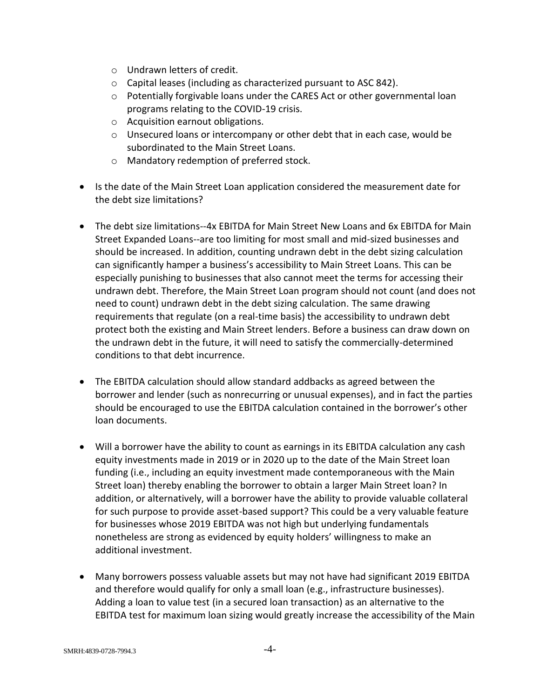- o Undrawn letters of credit.
- o Capital leases (including as characterized pursuant to ASC 842).
- $\circ$  Potentially forgivable loans under the CARES Act or other governmental loan programs relating to the COVID-19 crisis.
- o Acquisition earnout obligations.
- $\circ$  Unsecured loans or intercompany or other debt that in each case, would be subordinated to the Main Street Loans.
- o Mandatory redemption of preferred stock.
- Is the date of the Main Street Loan application considered the measurement date for the debt size limitations?
- The debt size limitations--4x FBITDA for Main Street New Loans and 6x FBITDA for Main Street Expanded Loans--are too limiting for most small and mid-sized businesses and should be increased. In addition, counting undrawn debt in the debt sizing calculation can significantly hamper a business's accessibility to Main Street Loans. This can be especially punishing to businesses that also cannot meet the terms for accessing their undrawn debt. Therefore, the Main Street Loan program should not count (and does not need to count) undrawn debt in the debt sizing calculation. The same drawing requirements that regulate (on a real-time basis) the accessibility to undrawn debt protect both the existing and Main Street lenders. Before a business can draw down on the undrawn debt in the future, it will need to satisfy the commercially-determined conditions to that debt incurrence.
- The EBITDA calculation should allow standard addbacks as agreed between the borrower and lender (such as nonrecurring or unusual expenses), and in fact the parties should be encouraged to use the EBITDA calculation contained in the borrower's other loan documents.
- Will a borrower have the ability to count as earnings in its EBITDA calculation any cash equity investments made in 2019 or in 2020 up to the date of the Main Street loan funding (i.e., including an equity investment made contemporaneous with the Main Street loan) thereby enabling the borrower to obtain a larger Main Street loan? In addition, or alternatively, will a borrower have the ability to provide valuable collateral for such purpose to provide asset-based support? This could be a very valuable feature for businesses whose 2019 EBITDA was not high but underlying fundamentals nonetheless are strong as evidenced by equity holders' willingness to make an additional investment.
- Many borrowers possess valuable assets but may not have had significant 2019 EBITDA and therefore would qualify for only a small loan (e.g., infrastructure businesses). Adding a loan to value test (in a secured loan transaction) as an alternative to the EBITDA test for maximum loan sizing would greatly increase the accessibility of the Main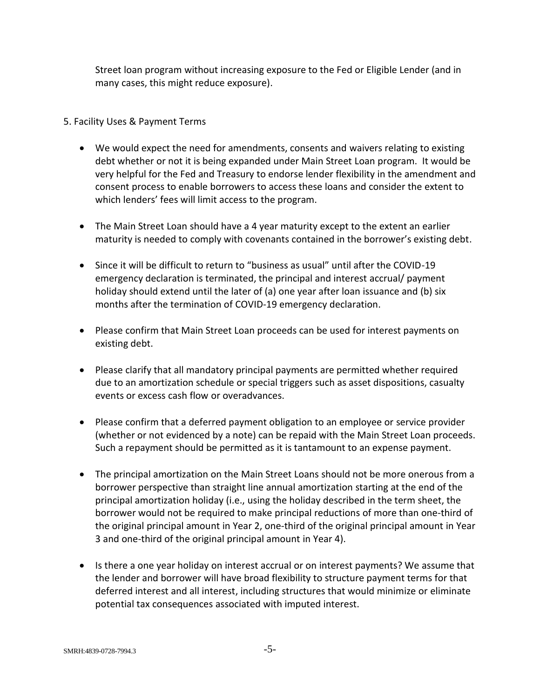Street loan program without increasing exposure to the Fed or Eligible Lender (and in many cases, this might reduce exposure).

# 5. Facility Uses & Payment Terms

- We would expect the need for amendments, consents and waivers relating to existing debt whether or not it is being expanded under Main Street Loan program. It would be very helpful for the Fed and Treasury to endorse lender flexibility in the amendment and consent process to enable borrowers to access these loans and consider the extent to which lenders' fees will limit access to the program.
- The Main Street Loan should have a 4 year maturity except to the extent an earlier maturity is needed to comply with covenants contained in the borrower's existing debt.
- Since it will be difficult to return to "business as usual" until after the COVID-19 emergency declaration is terminated, the principal and interest accrual/ payment holiday should extend until the later of (a) one year after loan issuance and (b) six months after the termination of COVID-19 emergency declaration.
- Please confirm that Main Street Loan proceeds can be used for interest payments on existing debt.
- Please clarify that all mandatory principal payments are permitted whether required due to an amortization schedule or special triggers such as asset dispositions, casualty events or excess cash flow or overadvances.
- Please confirm that a deferred payment obligation to an employee or service provider (whether or not evidenced by a note) can be repaid with the Main Street Loan proceeds. Such a repayment should be permitted as it is tantamount to an expense payment.
- The principal amortization on the Main Street Loans should not be more onerous from a borrower perspective than straight line annual amortization starting at the end of the principal amortization holiday (i.e., using the holiday described in the term sheet, the borrower would not be required to make principal reductions of more than one-third of the original principal amount in Year 2, one-third of the original principal amount in Year 3 and one-third of the original principal amount in Year 4).
- Is there a one year holiday on interest accrual or on interest payments? We assume that the lender and borrower will have broad flexibility to structure payment terms for that deferred interest and all interest, including structures that would minimize or eliminate potential tax consequences associated with imputed interest.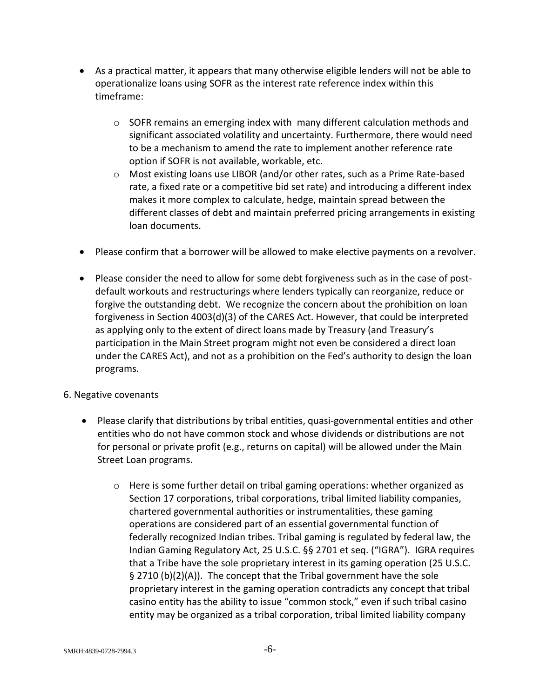- As a practical matter, it appears that many otherwise eligible lenders will not be able to operationalize loans using SOFR as the interest rate reference index within this timeframe:
	- $\circ$  SOFR remains an emerging index with many different calculation methods and significant associated volatility and uncertainty. Furthermore, there would need to be a mechanism to amend the rate to implement another reference rate option if SOFR is not available, workable, etc.
	- o Most existing loans use LIBOR (and/or other rates, such as a Prime Rate-based rate, a fixed rate or a competitive bid set rate) and introducing a different index makes it more complex to calculate, hedge, maintain spread between the different classes of debt and maintain preferred pricing arrangements in existing loan documents.
- Please confirm that a borrower will be allowed to make elective payments on a revolver.
- Please consider the need to allow for some debt forgiveness such as in the case of postdefault workouts and restructurings where lenders typically can reorganize, reduce or forgive the outstanding debt. We recognize the concern about the prohibition on loan forgiveness in Section 4003(d)(3) of the CARES Act. However, that could be interpreted as applying only to the extent of direct loans made by Treasury (and Treasury's participation in the Main Street program might not even be considered a direct loan under the CARES Act), and not as a prohibition on the Fed's authority to design the loan programs.

#### 6. Negative covenants

- Please clarify that distributions by tribal entities, quasi-governmental entities and other entities who do not have common stock and whose dividends or distributions are not for personal or private profit (e.g., returns on capital) will be allowed under the Main Street Loan programs.
	- $\circ$  Here is some further detail on tribal gaming operations: whether organized as Section 17 corporations, tribal corporations, tribal limited liability companies, chartered governmental authorities or instrumentalities, these gaming operations are considered part of an essential governmental function of federally recognized Indian tribes. Tribal gaming is regulated by federal law, the Indian Gaming Regulatory Act, 25 U.S.C. §§ 2701 et seq. ("IGRA"). IGRA requires that a Tribe have the sole proprietary interest in its gaming operation (25 U.S.C. § 2710 (b)(2)(A)). The concept that the Tribal government have the sole proprietary interest in the gaming operation contradicts any concept that tribal casino entity has the ability to issue "common stock," even if such tribal casino entity may be organized as a tribal corporation, tribal limited liability company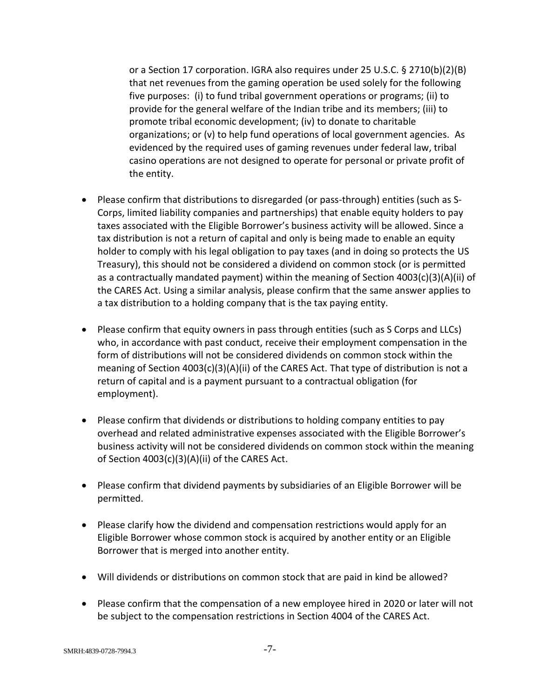or a Section 17 corporation. IGRA also requires under 25 U.S.C. § 2710(b)(2)(B) that net revenues from the gaming operation be used solely for the following five purposes: (i) to fund tribal government operations or programs; (ii) to provide for the general welfare of the Indian tribe and its members; (iii) to promote tribal economic development; (iv) to donate to charitable organizations; or (v) to help fund operations of local government agencies. As evidenced by the required uses of gaming revenues under federal law, tribal casino operations are not designed to operate for personal or private profit of the entity.

- Please confirm that distributions to disregarded (or pass-through) entities (such as S-Corps, limited liability companies and partnerships) that enable equity holders to pay taxes associated with the Eligible Borrower's business activity will be allowed. Since a tax distribution is not a return of capital and only is being made to enable an equity holder to comply with his legal obligation to pay taxes (and in doing so protects the US Treasury), this should not be considered a dividend on common stock (or is permitted as a contractually mandated payment) within the meaning of Section 4003(c)(3)(A)(ii) of the CARES Act. Using a similar analysis, please confirm that the same answer applies to a tax distribution to a holding company that is the tax paying entity.
- Please confirm that equity owners in pass through entities (such as S Corps and LLCs) who, in accordance with past conduct, receive their employment compensation in the form of distributions will not be considered dividends on common stock within the meaning of Section 4003(c)(3)(A)(ii) of the CARES Act. That type of distribution is not a return of capital and is a payment pursuant to a contractual obligation (for employment).
- Please confirm that dividends or distributions to holding company entities to pay overhead and related administrative expenses associated with the Eligible Borrower's business activity will not be considered dividends on common stock within the meaning of Section 4003(c)(3)(A)(ii) of the CARES Act.
- Please confirm that dividend payments by subsidiaries of an Eligible Borrower will be permitted.
- Please clarify how the dividend and compensation restrictions would apply for an Eligible Borrower whose common stock is acquired by another entity or an Eligible Borrower that is merged into another entity.
- Will dividends or distributions on common stock that are paid in kind be allowed?
- Please confirm that the compensation of a new employee hired in 2020 or later will not be subject to the compensation restrictions in Section 4004 of the CARES Act.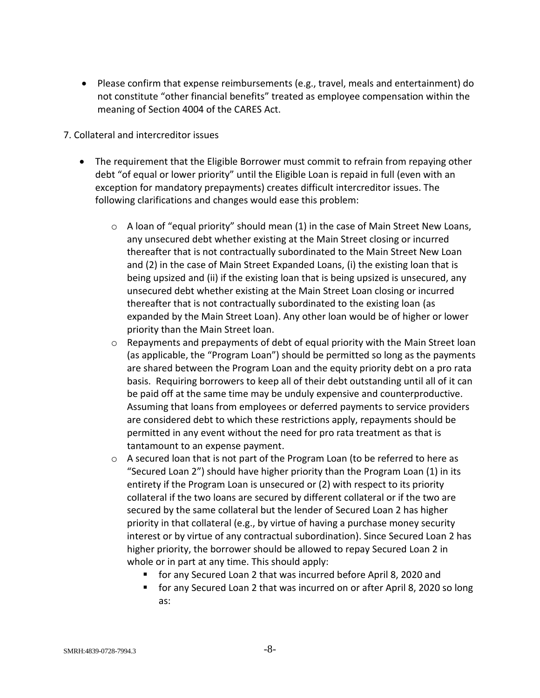- Please confirm that expense reimbursements (e.g., travel, meals and entertainment) do not constitute "other financial benefits" treated as employee compensation within the meaning of Section 4004 of the CARES Act.
- 7. Collateral and intercreditor issues
	- The requirement that the Eligible Borrower must commit to refrain from repaying other debt "of equal or lower priority" until the Eligible Loan is repaid in full (even with an exception for mandatory prepayments) creates difficult intercreditor issues. The following clarifications and changes would ease this problem:
		- $\circ$  A loan of "equal priority" should mean (1) in the case of Main Street New Loans, any unsecured debt whether existing at the Main Street closing or incurred thereafter that is not contractually subordinated to the Main Street New Loan and (2) in the case of Main Street Expanded Loans, (i) the existing loan that is being upsized and (ii) if the existing loan that is being upsized is unsecured, any unsecured debt whether existing at the Main Street Loan closing or incurred thereafter that is not contractually subordinated to the existing loan (as expanded by the Main Street Loan). Any other loan would be of higher or lower priority than the Main Street loan.
		- $\circ$  Repayments and prepayments of debt of equal priority with the Main Street loan (as applicable, the "Program Loan") should be permitted so long as the payments are shared between the Program Loan and the equity priority debt on a pro rata basis. Requiring borrowers to keep all of their debt outstanding until all of it can be paid off at the same time may be unduly expensive and counterproductive. Assuming that loans from employees or deferred payments to service providers are considered debt to which these restrictions apply, repayments should be permitted in any event without the need for pro rata treatment as that is tantamount to an expense payment.
		- $\circ$  A secured loan that is not part of the Program Loan (to be referred to here as "Secured Loan 2") should have higher priority than the Program Loan (1) in its entirety if the Program Loan is unsecured or (2) with respect to its priority collateral if the two loans are secured by different collateral or if the two are secured by the same collateral but the lender of Secured Loan 2 has higher priority in that collateral (e.g., by virtue of having a purchase money security interest or by virtue of any contractual subordination). Since Secured Loan 2 has higher priority, the borrower should be allowed to repay Secured Loan 2 in whole or in part at any time. This should apply:
			- for any Secured Loan 2 that was incurred before April 8, 2020 and
			- for any Secured Loan 2 that was incurred on or after April 8, 2020 so long as: